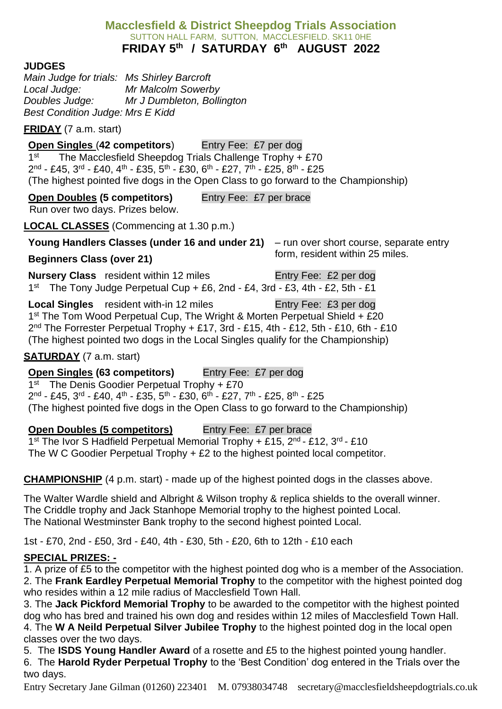#### **Macclesfield & District Sheepdog Trials Association** SUTTON HALL FARM, SUTTON, MACCLESFIELD. SK11 0HE **FRIDAY 5 th / SATURDAY 6 th AUGUST 2022**

#### **JUDGES**

*Main Judge for trials: Ms Shirley Barcroft Local Judge: Mr Malcolm Sowerby Doubles Judge: Mr J Dumbleton, Bollington Best Condition Judge: Mrs E Kidd*

**FRIDAY** (7 a.m. start)

#### **Open Singles (42 competitors)** Entry Fee: £7 per dog 1 st The Macclesfield Sheepdog Trials Challenge Trophy + £70 2<sup>nd</sup> - £45, 3<sup>rd</sup> - £40, 4<sup>th</sup> - £35, 5<sup>th</sup> - £30, 6<sup>th</sup> - £27, 7<sup>th</sup> - £25, 8<sup>th</sup> - £25 (The highest pointed five dogs in the Open Class to go forward to the Championship)

**Open Doubles (5 competitors)** Entry Fee: £7 per brace

Run over two days. Prizes below.

**LOCAL CLASSES** (Commencing at 1.30 p.m.)

**Young Handlers Classes (under 16 and under 21)** – run over short course, separate entry

# form, resident within 25 miles. **Beginners Class (over 21)**

**Nursery Class** resident within 12 miles Entry Fee: £2 per dog 1<sup>st</sup> The Tony Judge Perpetual Cup + £6, 2nd - £4, 3rd - £3, 4th - £2, 5th - £1

**Local Singles** resident with-in 12 miles Entry Fee: £3 per dog 1<sup>st</sup> The Tom Wood Perpetual Cup, The Wright & Morten Perpetual Shield + £20 2<sup>nd</sup> The Forrester Perpetual Trophy + £17, 3rd - £15, 4th - £12, 5th - £10, 6th - £10 (The highest pointed two dogs in the Local Singles qualify for the Championship)

### **SATURDAY** (7 a.m. start)

# **Open Singles (63 competitors)** Entry Fee: £7 per dog

1<sup>st</sup> The Denis Goodier Perpetual Trophy + £70 2<sup>nd</sup> - £45, 3<sup>rd</sup> - £40, 4<sup>th</sup> - £35, 5<sup>th</sup> - £30, 6<sup>th</sup> - £27, 7<sup>th</sup> - £25, 8<sup>th</sup> - £25 (The highest pointed five dogs in the Open Class to go forward to the Championship)

**Open Doubles (5 competitors)** Entry Fee: £7 per brace 1<sup>st</sup> The Ivor S Hadfield Perpetual Memorial Trophy + £15, 2<sup>nd</sup> - £12, 3<sup>rd</sup> - £10 The W C Goodier Perpetual Trophy + £2 to the highest pointed local competitor.

**CHAMPIONSHIP** (4 p.m. start) - made up of the highest pointed dogs in the classes above.

The Walter Wardle shield and Albright & Wilson trophy & replica shields to the overall winner. The Criddle trophy and Jack Stanhope Memorial trophy to the highest pointed Local. The National Westminster Bank trophy to the second highest pointed Local.

1st - £70, 2nd - £50, 3rd - £40, 4th - £30, 5th - £20, 6th to 12th - £10 each

# **SPECIAL PRIZES: -**

1. A prize of £5 to the competitor with the highest pointed dog who is a member of the Association. 2. The **Frank Eardley Perpetual Memorial Trophy** to the competitor with the highest pointed dog who resides within a 12 mile radius of Macclesfield Town Hall.

3. The **Jack Pickford Memorial Trophy** to be awarded to the competitor with the highest pointed dog who has bred and trained his own dog and resides within 12 miles of Macclesfield Town Hall. 4. The **W A Neild Perpetual Silver Jubilee Trophy** to the highest pointed dog in the local open

classes over the two days. 5. The **ISDS Young Handler Award** of a rosette and £5 to the highest pointed young handler.

6. The **Harold Ryder Perpetual Trophy** to the 'Best Condition' dog entered in the Trials over the two days.

Entry Secretary Jane Gilman (01260) 223401 M. 07938034748 secretary@macclesfieldsheepdogtrials.co.uk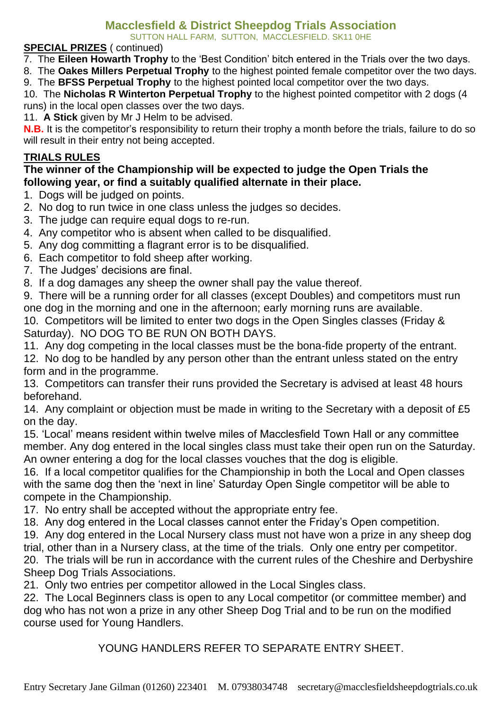# **Macclesfield & District Sheepdog Trials Association**

SUTTON HALL FARM, SUTTON, MACCLESFIELD. SK11 0HE

#### **SPECIAL PRIZES** ( continued)

7. The **Eileen Howarth Trophy** to the 'Best Condition' bitch entered in the Trials over the two days.

8. The **Oakes Millers Perpetual Trophy** to the highest pointed female competitor over the two days.

9. The **BFSS Perpetual Trophy** to the highest pointed local competitor over the two days.

10. The **Nicholas R Winterton Perpetual Trophy** to the highest pointed competitor with 2 dogs (4 runs) in the local open classes over the two days.

11. **A Stick** given by Mr J Helm to be advised.

**N.B.** It is the competitor's responsibility to return their trophy a month before the trials, failure to do so will result in their entry not being accepted.

### **TRIALS RULES**

#### **The winner of the Championship will be expected to judge the Open Trials the following year, or find a suitably qualified alternate in their place.**

- 1. Dogs will be judged on points.
- 2. No dog to run twice in one class unless the judges so decides.
- 3. The judge can require equal dogs to re-run.
- 4. Any competitor who is absent when called to be disqualified.
- 5. Any dog committing a flagrant error is to be disqualified.
- 6. Each competitor to fold sheep after working.
- 7. The Judges' decisions are final.
- 8. If a dog damages any sheep the owner shall pay the value thereof.
- 9. There will be a running order for all classes (except Doubles) and competitors must run one dog in the morning and one in the afternoon; early morning runs are available.

10. Competitors will be limited to enter two dogs in the Open Singles classes (Friday & Saturday). NO DOG TO BE RUN ON BOTH DAYS.

11. Any dog competing in the local classes must be the bona-fide property of the entrant.

12. No dog to be handled by any person other than the entrant unless stated on the entry form and in the programme.

13. Competitors can transfer their runs provided the Secretary is advised at least 48 hours beforehand.

14. Any complaint or objection must be made in writing to the Secretary with a deposit of £5 on the day.

15. 'Local' means resident within twelve miles of Macclesfield Town Hall or any committee member. Any dog entered in the local singles class must take their open run on the Saturday. An owner entering a dog for the local classes vouches that the dog is eligible.

16. If a local competitor qualifies for the Championship in both the Local and Open classes with the same dog then the 'next in line' Saturday Open Single competitor will be able to compete in the Championship.

17. No entry shall be accepted without the appropriate entry fee.

18. Any dog entered in the Local classes cannot enter the Friday's Open competition.

19. Any dog entered in the Local Nursery class must not have won a prize in any sheep dog trial, other than in a Nursery class, at the time of the trials. Only one entry per competitor. 20. The trials will be run in accordance with the current rules of the Cheshire and Derbyshire Sheep Dog Trials Associations.

21. Only two entries per competitor allowed in the Local Singles class.

22. The Local Beginners class is open to any Local competitor (or committee member) and dog who has not won a prize in any other Sheep Dog Trial and to be run on the modified course used for Young Handlers.

YOUNG HANDLERS REFER TO SEPARATE ENTRY SHEET.